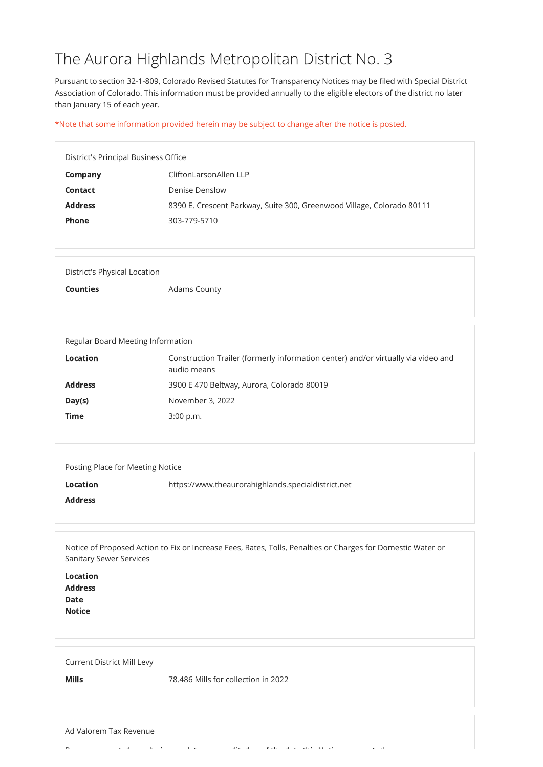## The Aurora Highlands Metropolitan District No. 3

Pursuant to section 32-1-809, Colorado Revised Statutes for Transparency Notices may be filed with Special District Association of Colorado. This information must be provided annually to the eligible electors of the district no later than January 15 of each year.

\*Note that some information provided herein may be subject to change after the notice is posted.

| District's Principal Business Office |                                                                        |
|--------------------------------------|------------------------------------------------------------------------|
| Company                              | CliftonLarsonAllen LLP                                                 |
| Contact                              | Denise Denslow                                                         |
| <b>Address</b>                       | 8390 E. Crescent Parkway, Suite 300, Greenwood Village, Colorado 80111 |
| <b>Phone</b>                         | 303-779-5710                                                           |
|                                      |                                                                        |

| District's Physical Location |                     |
|------------------------------|---------------------|
| <b>Counties</b>              | <b>Adams County</b> |

| Regular Board Meeting Information |                                                                                                  |
|-----------------------------------|--------------------------------------------------------------------------------------------------|
| <b>Location</b>                   | Construction Trailer (formerly information center) and/or virtually via video and<br>audio means |
| <b>Address</b>                    | 3900 E 470 Beltway, Aurora, Colorado 80019                                                       |
| Day(s)                            | November 3, 2022                                                                                 |
| <b>Time</b>                       | $3:00$ p.m.                                                                                      |
|                                   |                                                                                                  |

| Posting Place for Meeting Notice |                                                    |
|----------------------------------|----------------------------------------------------|
| <b>Location</b>                  | https://www.theaurorahighlands.specialdistrict.net |
| <b>Address</b>                   |                                                    |
|                                  |                                                    |

Notice of Proposed Action to Fix or Increase Fees, Rates, Tolls, Penalties or Charges for Domestic Water or Sanitary Sewer Services

| Location<br><b>Address</b><br><b>Date</b><br><b>Notice</b> |  |  |
|------------------------------------------------------------|--|--|
| <b>Current District Mill Levy</b>                          |  |  |

Mills 78.486 Mills for collection in 2022

## Ad Valorem Tax Revenue

R t d'air de baixon de la baixon de la baixon de la baixon de la baixon de la baixon de la baixon de la baixon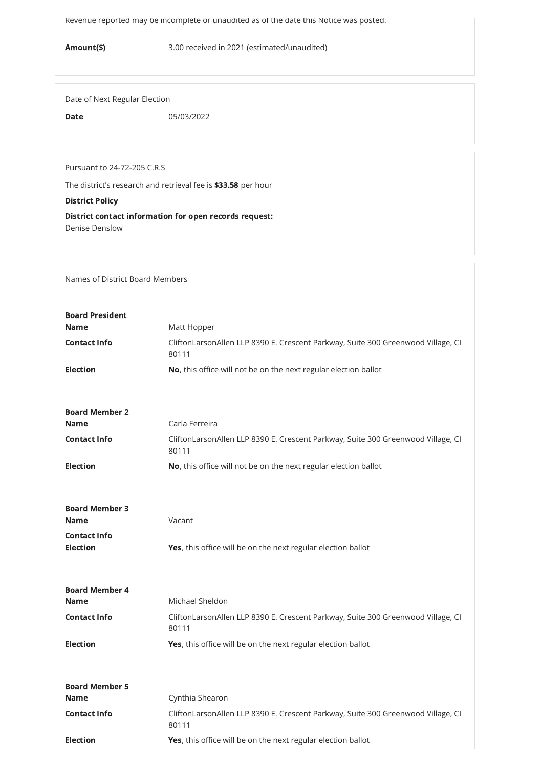Revenue reported may be incomplete or unaudited as of the date this Notice was posted.

Amount(\$) 3.00 received in 2021 (estimated/unaudited)

Date of Next Regular Election

Date 05/03/2022

Pursuant to 24-72-205 C.R.S

The district's research and retrieval fee is \$33.58 per hour

District Policy

District contact information for open records request: Denise Denslow

Names of District Board Members

| <b>Board President</b>                 |                                                                                           |
|----------------------------------------|-------------------------------------------------------------------------------------------|
| <b>Name</b>                            | Matt Hopper                                                                               |
| <b>Contact Info</b>                    | CliftonLarsonAllen LLP 8390 E. Crescent Parkway, Suite 300 Greenwood Village, CI<br>80111 |
| <b>Election</b>                        | No, this office will not be on the next regular election ballot                           |
|                                        |                                                                                           |
| <b>Board Member 2</b>                  |                                                                                           |
| <b>Name</b>                            | Carla Ferreira                                                                            |
| <b>Contact Info</b>                    | CliftonLarsonAllen LLP 8390 E. Crescent Parkway, Suite 300 Greenwood Village, CI<br>80111 |
| <b>Election</b>                        | No, this office will not be on the next regular election ballot                           |
|                                        |                                                                                           |
| <b>Board Member 3</b>                  |                                                                                           |
| <b>Name</b>                            | Vacant                                                                                    |
| <b>Contact Info</b><br><b>Election</b> | Yes, this office will be on the next regular election ballot                              |

| <b>Board Member 4</b> |                                                                                           |
|-----------------------|-------------------------------------------------------------------------------------------|
| <b>Name</b>           | Michael Sheldon                                                                           |
| <b>Contact Info</b>   | CliftonLarsonAllen LLP 8390 E. Crescent Parkway, Suite 300 Greenwood Village, CI<br>80111 |
| <b>Election</b>       | <b>Yes,</b> this office will be on the next regular election ballot                       |
| <b>Board Member 5</b> |                                                                                           |
| <b>Name</b>           | Cynthia Shearon                                                                           |
| <b>Contact Info</b>   | CliftonLarsonAllen LLP 8390 E. Crescent Parkway, Suite 300 Greenwood Village, CI<br>80111 |
| <b>Election</b>       | <b>Yes,</b> this office will be on the next regular election ballot                       |